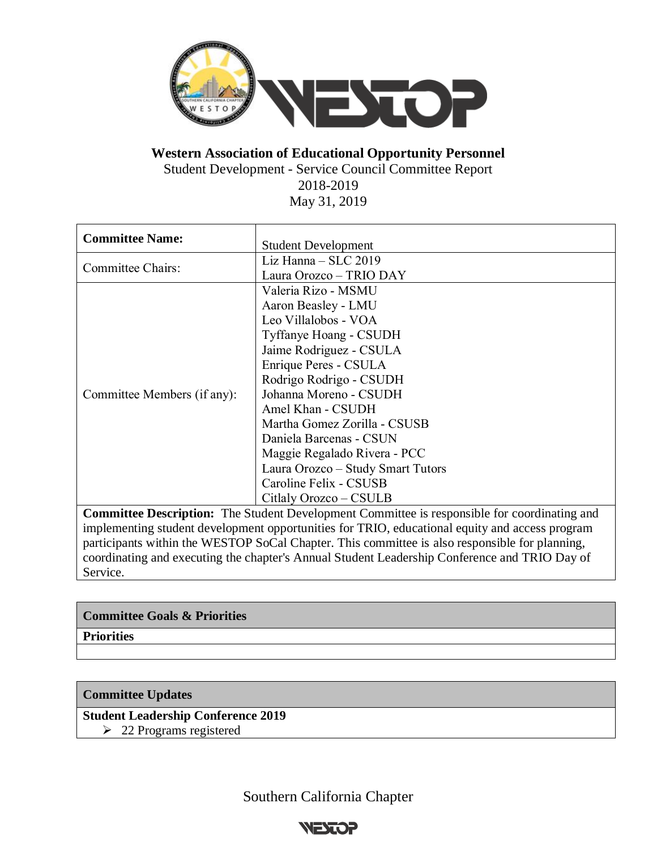

**Western Association of Educational Opportunity Personnel**

Student Development - Service Council Committee Report

2018-2019

May 31, 2019

| <b>Committee Name:</b>                                                                         | <b>Student Development</b>                                                                          |
|------------------------------------------------------------------------------------------------|-----------------------------------------------------------------------------------------------------|
| <b>Committee Chairs:</b>                                                                       | Liz Hanna $-$ SLC 2019                                                                              |
|                                                                                                | Laura Orozco - TRIO DAY                                                                             |
| Committee Members (if any):                                                                    | Valeria Rizo - MSMU                                                                                 |
|                                                                                                | Aaron Beasley - LMU                                                                                 |
|                                                                                                | Leo Villalobos - VOA                                                                                |
|                                                                                                | <b>Tyffanye Hoang - CSUDH</b>                                                                       |
|                                                                                                | Jaime Rodriguez - CSULA                                                                             |
|                                                                                                | Enrique Peres - CSULA                                                                               |
|                                                                                                | Rodrigo Rodrigo - CSUDH                                                                             |
|                                                                                                | Johanna Moreno - CSUDH                                                                              |
|                                                                                                | Amel Khan - CSUDH                                                                                   |
|                                                                                                | Martha Gomez Zorilla - CSUSB                                                                        |
|                                                                                                | Daniela Barcenas - CSUN                                                                             |
|                                                                                                | Maggie Regalado Rivera - PCC                                                                        |
|                                                                                                | Laura Orozco - Study Smart Tutors                                                                   |
|                                                                                                | Caroline Felix - CSUSB                                                                              |
|                                                                                                | Citlaly Orozco – CSULB                                                                              |
|                                                                                                | <b>Committee Description:</b> The Student Development Committee is responsible for coordinating and |
| implementing student development eppertunities for TDIO, educational equity and access program |                                                                                                     |

implementing student development opportunities for TRIO, educational equity and access program participants within the WESTOP SoCal Chapter. This committee is also responsible for planning, coordinating and executing the chapter's Annual Student Leadership Conference and TRIO Day of Service.

| <b>Committee Goals &amp; Priorities</b> |
|-----------------------------------------|
| <b>Priorities</b>                       |
|                                         |
|                                         |

**Committee Updates** 

**Student Leadership Conference 2019**

➢ 22 Programs registered

Southern California Chapter

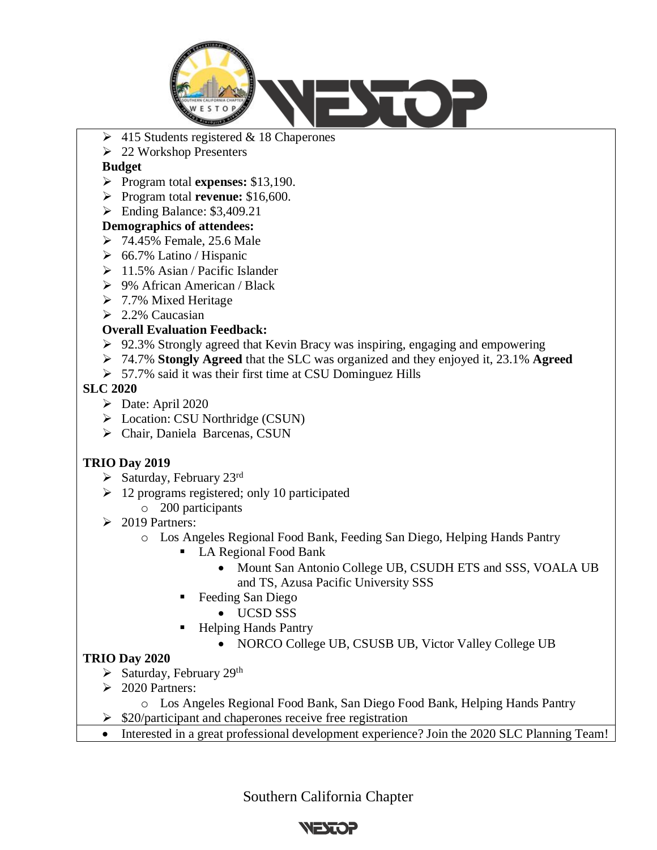

- $\geq 415$  Students registered & 18 Chaperones
- ➢ 22 Workshop Presenters

#### **Budget**

- ➢ Program total **expenses:** \$13,190.
- ➢ Program total **revenue:** \$16,600.
- ➢ Ending Balance: \$3,409.21

# **Demographics of attendees:**

- ➢ 74.45% Female, 25.6 Male
- $\geq 66.7\%$  Latino / Hispanic
- $\geq 11.5\%$  Asian / Pacific Islander
- ➢ 9% African American / Black
- ➢ 7.7% Mixed Heritage
- $\geq$  2.2% Caucasian

# **Overall Evaluation Feedback:**

- $\geq 92.3\%$  Strongly agreed that Kevin Bracy was inspiring, engaging and empowering
- ➢ 74.7% **Stongly Agreed** that the SLC was organized and they enjoyed it, 23.1% **Agreed**
- ➢ 57.7% said it was their first time at CSU Dominguez Hills

#### **SLC 2020**

- $\triangleright$  Date: April 2020
- ➢ Location: CSU Northridge (CSUN)
- ➢ Chair, Daniela Barcenas, CSUN

# **TRIO Day 2019**

- $\triangleright$  Saturday, February 23rd
- $\geq 12$  programs registered; only 10 participated
	- o 200 participants
- $\geq 2019$  Partners:
	- o Los Angeles Regional Food Bank, Feeding San Diego, Helping Hands Pantry
		- LA Regional Food Bank
			- Mount San Antonio College UB, CSUDH ETS and SSS, VOALA UB and TS, Azusa Pacific University SSS
		- Feeding San Diego
			- UCSD SSS
		- **Helping Hands Pantry** 
			- NORCO College UB, CSUSB UB, Victor Valley College UB

# **TRIO Day 2020**

- ➢ Saturday, February 29th
- $\geq 2020$  Partners:
	- o Los Angeles Regional Food Bank, San Diego Food Bank, Helping Hands Pantry
- ➢ \$20/participant and chaperones receive free registration
- Interested in a great professional development experience? Join the 2020 SLC Planning Team!

Southern California Chapter